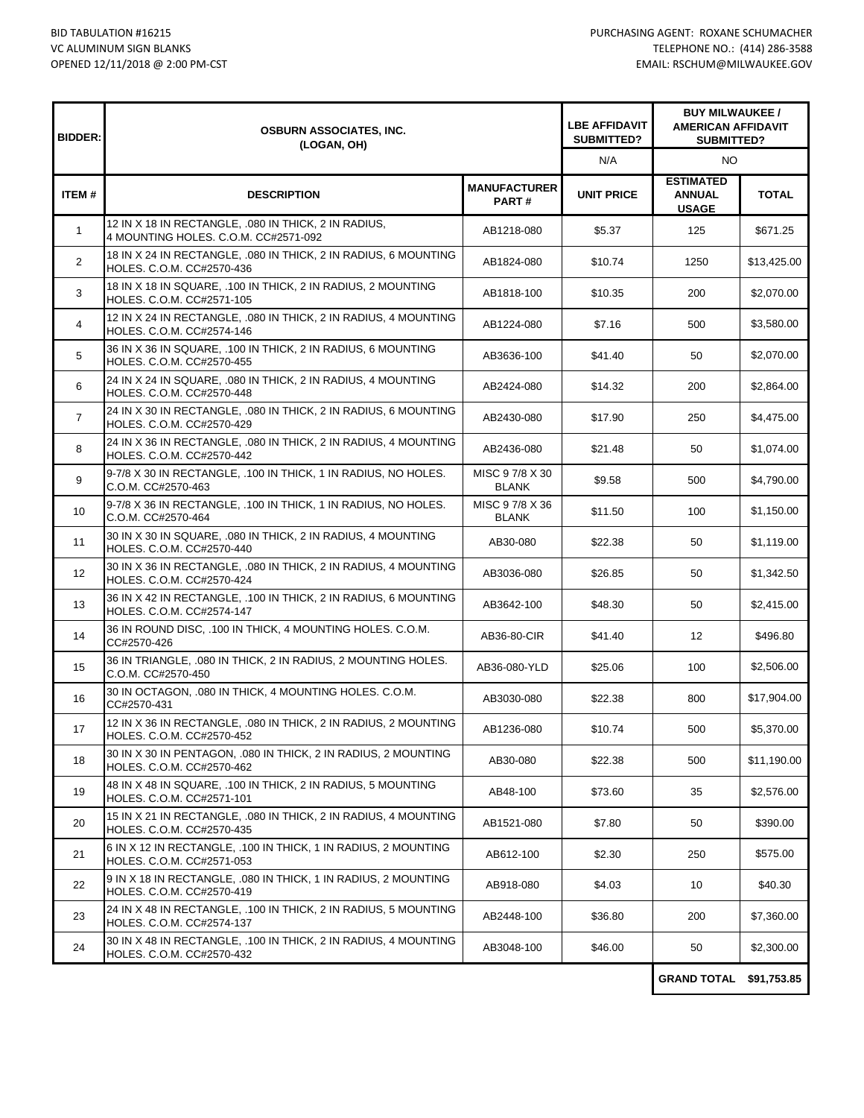| <b>BIDDER:</b>    | <b>OSBURN ASSOCIATES, INC.</b><br>(LOGAN, OH)                                                |                                 | <b>LBE AFFIDAVIT</b><br>SUBMITTED? | <b>BUY MILWAUKEE /</b><br><b>AMERICAN AFFIDAVIT</b><br>SUBMITTED? |                   |
|-------------------|----------------------------------------------------------------------------------------------|---------------------------------|------------------------------------|-------------------------------------------------------------------|-------------------|
|                   |                                                                                              |                                 | N/A                                | NO                                                                |                   |
| ITEM#             | <b>DESCRIPTION</b>                                                                           | <b>MANUFACTURER</b><br>PART#    | <b>UNIT PRICE</b>                  | <b>ESTIMATED</b><br><b>ANNUAL</b><br><b>USAGE</b>                 | <b>TOTAL</b>      |
| $\mathbf{1}$      | 12 IN X 18 IN RECTANGLE, .080 IN THICK, 2 IN RADIUS,<br>4 MOUNTING HOLES, C.O.M. CC#2571-092 | AB1218-080                      | \$5.37                             | 125                                                               | \$671.25          |
| $\overline{2}$    | 18 IN X 24 IN RECTANGLE, .080 IN THICK, 2 IN RADIUS, 6 MOUNTING<br>HOLES. C.O.M. CC#2570-436 | AB1824-080                      | \$10.74                            | 1250                                                              | \$13,425.00       |
| 3                 | 18 IN X 18 IN SQUARE, .100 IN THICK, 2 IN RADIUS, 2 MOUNTING<br>HOLES. C.O.M. CC#2571-105    | AB1818-100                      | \$10.35                            | 200                                                               | \$2,070.00        |
| 4                 | 12 IN X 24 IN RECTANGLE, .080 IN THICK, 2 IN RADIUS, 4 MOUNTING<br>HOLES. C.O.M. CC#2574-146 | AB1224-080                      | \$7.16                             | 500                                                               | \$3,580.00        |
| 5                 | 36 IN X 36 IN SQUARE, .100 IN THICK, 2 IN RADIUS, 6 MOUNTING<br>HOLES. C.O.M. CC#2570-455    | AB3636-100                      | \$41.40                            | 50                                                                | \$2,070.00        |
| 6                 | 24 IN X 24 IN SQUARE, .080 IN THICK, 2 IN RADIUS, 4 MOUNTING<br>HOLES. C.O.M. CC#2570-448    | AB2424-080                      | \$14.32                            | 200                                                               | \$2,864.00        |
| 7                 | 24 IN X 30 IN RECTANGLE, .080 IN THICK, 2 IN RADIUS, 6 MOUNTING<br>HOLES. C.O.M. CC#2570-429 | AB2430-080                      | \$17.90                            | 250                                                               | \$4,475.00        |
| 8                 | 24 IN X 36 IN RECTANGLE, .080 IN THICK, 2 IN RADIUS, 4 MOUNTING<br>HOLES. C.O.M. CC#2570-442 | AB2436-080                      | \$21.48                            | 50                                                                | \$1,074.00        |
| 9                 | 9-7/8 X 30 IN RECTANGLE, .100 IN THICK, 1 IN RADIUS, NO HOLES.<br>C.O.M. CC#2570-463         | MISC 9 7/8 X 30<br><b>BLANK</b> | \$9.58                             | 500                                                               | \$4,790.00        |
| 10                | 9-7/8 X 36 IN RECTANGLE, .100 IN THICK, 1 IN RADIUS, NO HOLES.<br>C.O.M. CC#2570-464         | MISC 97/8 X 36<br><b>BLANK</b>  | \$11.50                            | 100                                                               | \$1.150.00        |
| 11                | 30 IN X 30 IN SQUARE, .080 IN THICK, 2 IN RADIUS, 4 MOUNTING<br>HOLES. C.O.M. CC#2570-440    | AB30-080                        | \$22.38                            | 50                                                                | \$1,119.00        |
| $12 \overline{ }$ | 30 IN X 36 IN RECTANGLE, .080 IN THICK, 2 IN RADIUS, 4 MOUNTING<br>HOLES. C.O.M. CC#2570-424 | AB3036-080                      | \$26.85                            | 50                                                                | \$1,342.50        |
| 13                | 36 IN X 42 IN RECTANGLE, .100 IN THICK, 2 IN RADIUS, 6 MOUNTING<br>HOLES. C.O.M. CC#2574-147 | AB3642-100                      | \$48.30                            | 50                                                                | \$2,415.00        |
| 14                | 36 IN ROUND DISC, .100 IN THICK, 4 MOUNTING HOLES. C.O.M.<br>CC#2570-426                     | AB36-80-CIR                     | \$41.40                            | 12                                                                | \$496.80          |
| 15                | 36 IN TRIANGLE, .080 IN THICK, 2 IN RADIUS, 2 MOUNTING HOLES.<br>C.O.M. CC#2570-450          | AB36-080-YLD                    | \$25.06                            | 100                                                               | \$2,506.00        |
| 16                | 30 IN OCTAGON, .080 IN THICK, 4 MOUNTING HOLES. C.O.M.<br>CC#2570-431                        | AB3030-080                      | \$22.38                            | 800                                                               | \$17,904.00       |
| 17                | 12 IN X 36 IN RECTANGLE, .080 IN THICK, 2 IN RADIUS, 2 MOUNTING<br>HOLES. C.O.M. CC#2570-452 | AB1236-080                      | \$10.74                            | 500                                                               | \$5,370.00        |
| 18                | 30 IN X 30 IN PENTAGON, .080 IN THICK, 2 IN RADIUS, 2 MOUNTING<br>HOLES. C.O.M. CC#2570-462  | AB30-080                        | \$22.38                            | 500                                                               | \$11,190.00       |
| 19                | 48 IN X 48 IN SQUARE, .100 IN THICK, 2 IN RADIUS, 5 MOUNTING<br>HOLES. C.O.M. CC#2571-101    | AB48-100                        | \$73.60                            | 35                                                                | \$2,576.00        |
| 20                | 15 IN X 21 IN RECTANGLE, 080 IN THICK, 2 IN RADIUS, 4 MOUNTING<br>HOLES. C.O.M. CC#2570-435  | AB1521-080                      | \$7.80                             | 50                                                                | \$390.00          |
| 21                | 6 IN X 12 IN RECTANGLE, .100 IN THICK, 1 IN RADIUS, 2 MOUNTING<br>HOLES. C.O.M. CC#2571-053  | AB612-100                       | \$2.30                             | 250                                                               | \$575.00          |
| 22                | 9 IN X 18 IN RECTANGLE, 080 IN THICK, 1 IN RADIUS, 2 MOUNTING<br>HOLES. C.O.M. CC#2570-419   | AB918-080                       | \$4.03                             | 10                                                                | \$40.30           |
| 23                | 24 IN X 48 IN RECTANGLE, .100 IN THICK, 2 IN RADIUS, 5 MOUNTING<br>HOLES. C.O.M. CC#2574-137 | AB2448-100                      | \$36.80                            | 200                                                               | \$7,360.00        |
| 24                | 30 IN X 48 IN RECTANGLE, .100 IN THICK, 2 IN RADIUS, 4 MOUNTING<br>HOLES. C.O.M. CC#2570-432 | AB3048-100                      | \$46.00                            | 50                                                                | \$2,300.00        |
|                   |                                                                                              |                                 |                                    | CRAND TOTAL                                                       | <b>CO4 752 OF</b> |

**GRAND TOTAL \$91,753.85**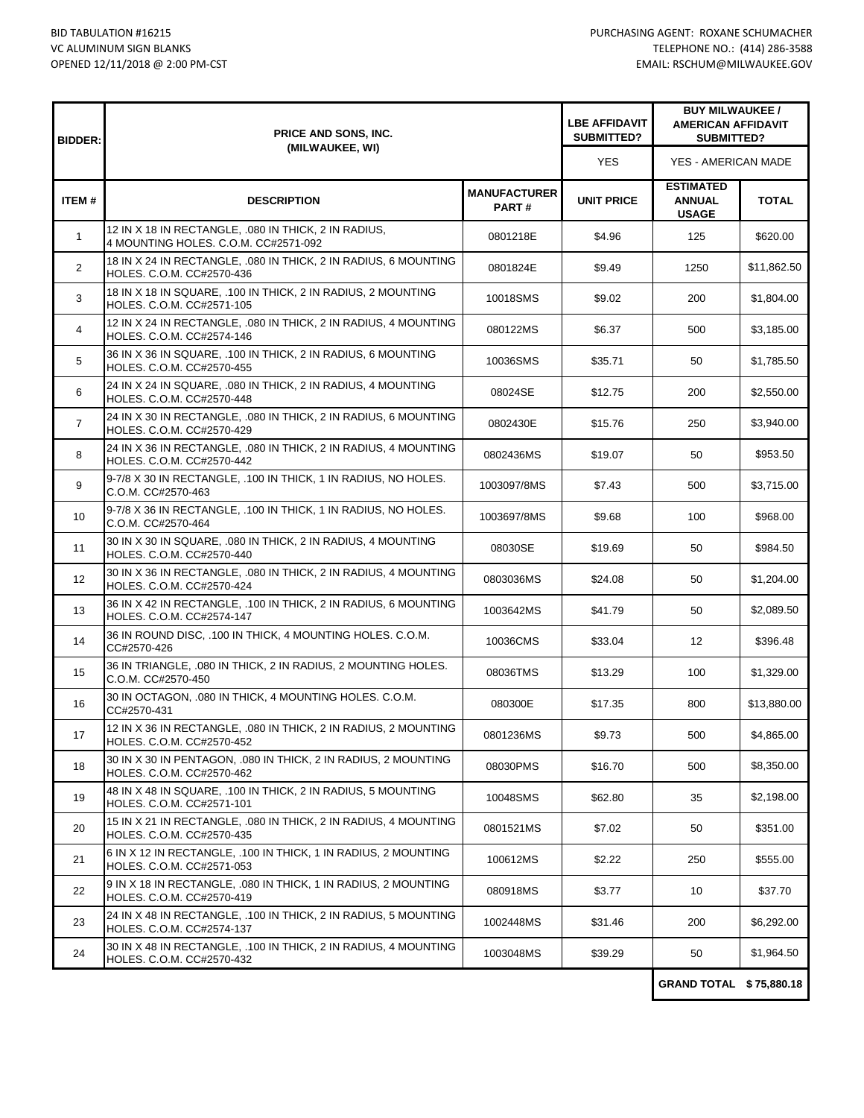| <b>BIDDER:</b>    | PRICE AND SONS, INC.<br>(MILWAUKEE, WI)                                                      |                              | <b>LBE AFFIDAVIT</b><br>SUBMITTED? | <b>BUY MILWAUKEE /</b><br><b>AMERICAN AFFIDAVIT</b><br><b>SUBMITTED?</b> |              |
|-------------------|----------------------------------------------------------------------------------------------|------------------------------|------------------------------------|--------------------------------------------------------------------------|--------------|
|                   |                                                                                              |                              | <b>YES</b>                         | YES - AMERICAN MADE                                                      |              |
| ITEM#             | <b>DESCRIPTION</b>                                                                           | <b>MANUFACTURER</b><br>PART# | <b>UNIT PRICE</b>                  | <b>ESTIMATED</b><br><b>ANNUAL</b><br><b>USAGE</b>                        | <b>TOTAL</b> |
| $\mathbf{1}$      | 12 IN X 18 IN RECTANGLE, .080 IN THICK, 2 IN RADIUS,<br>4 MOUNTING HOLES. C.O.M. CC#2571-092 | 0801218E                     | \$4.96                             | 125                                                                      | \$620.00     |
| $\overline{2}$    | 18 IN X 24 IN RECTANGLE, .080 IN THICK, 2 IN RADIUS, 6 MOUNTING<br>HOLES. C.O.M. CC#2570-436 | 0801824E                     | \$9.49                             | 1250                                                                     | \$11,862.50  |
| 3                 | 18 IN X 18 IN SQUARE, .100 IN THICK, 2 IN RADIUS, 2 MOUNTING<br>HOLES. C.O.M. CC#2571-105    | 10018SMS                     | \$9.02                             | 200                                                                      | \$1,804.00   |
| 4                 | 12 IN X 24 IN RECTANGLE, .080 IN THICK, 2 IN RADIUS, 4 MOUNTING<br>HOLES. C.O.M. CC#2574-146 | 080122MS                     | \$6.37                             | 500                                                                      | \$3,185.00   |
| 5                 | 36 IN X 36 IN SQUARE, .100 IN THICK, 2 IN RADIUS, 6 MOUNTING<br>HOLES. C.O.M. CC#2570-455    | 10036SMS                     | \$35.71                            | 50                                                                       | \$1,785.50   |
| 6                 | 24 IN X 24 IN SQUARE, .080 IN THICK, 2 IN RADIUS, 4 MOUNTING<br>HOLES. C.O.M. CC#2570-448    | 08024SE                      | \$12.75                            | 200                                                                      | \$2,550.00   |
| $\overline{7}$    | 24 IN X 30 IN RECTANGLE, .080 IN THICK, 2 IN RADIUS, 6 MOUNTING<br>HOLES. C.O.M. CC#2570-429 | 0802430E                     | \$15.76                            | 250                                                                      | \$3,940.00   |
| 8                 | 24 IN X 36 IN RECTANGLE, .080 IN THICK, 2 IN RADIUS, 4 MOUNTING<br>HOLES. C.O.M. CC#2570-442 | 0802436MS                    | \$19.07                            | 50                                                                       | \$953.50     |
| 9                 | 9-7/8 X 30 IN RECTANGLE, .100 IN THICK, 1 IN RADIUS, NO HOLES.<br>C.O.M. CC#2570-463         | 1003097/8MS                  | \$7.43                             | 500                                                                      | \$3,715.00   |
| 10                | 9-7/8 X 36 IN RECTANGLE, .100 IN THICK, 1 IN RADIUS, NO HOLES.<br>C.O.M. CC#2570-464         | 1003697/8MS                  | \$9.68                             | 100                                                                      | \$968.00     |
| 11                | 30 IN X 30 IN SQUARE, .080 IN THICK, 2 IN RADIUS, 4 MOUNTING<br>HOLES. C.O.M. CC#2570-440    | 08030SE                      | \$19.69                            | 50                                                                       | \$984.50     |
| $12 \overline{ }$ | 30 IN X 36 IN RECTANGLE, .080 IN THICK, 2 IN RADIUS, 4 MOUNTING<br>HOLES. C.O.M. CC#2570-424 | 0803036MS                    | \$24.08                            | 50                                                                       | \$1,204.00   |
| 13                | 36 IN X 42 IN RECTANGLE, .100 IN THICK, 2 IN RADIUS, 6 MOUNTING<br>HOLES. C.O.M. CC#2574-147 | 1003642MS                    | \$41.79                            | 50                                                                       | \$2,089.50   |
| 14                | 36 IN ROUND DISC, .100 IN THICK, 4 MOUNTING HOLES. C.O.M.<br>CC#2570-426                     | 10036CMS                     | \$33.04                            | 12                                                                       | \$396.48     |
| 15                | 36 IN TRIANGLE, .080 IN THICK, 2 IN RADIUS, 2 MOUNTING HOLES.<br>C.O.M. CC#2570-450          | 08036TMS                     | \$13.29                            | 100                                                                      | \$1,329.00   |
| 16                | 30 IN OCTAGON, .080 IN THICK, 4 MOUNTING HOLES. C.O.M.<br>CC#2570-431                        | 080300E                      | \$17.35                            | 800                                                                      | \$13,880.00  |
| 17                | 12 IN X 36 IN RECTANGLE, .080 IN THICK, 2 IN RADIUS, 2 MOUNTING<br>HOLES. C.O.M. CC#2570-452 | 0801236MS                    | \$9.73                             | 500                                                                      | \$4,865.00   |
| 18                | 30 IN X 30 IN PENTAGON, .080 IN THICK, 2 IN RADIUS, 2 MOUNTING<br>HOLES, C.O.M. CC#2570-462  | 08030PMS                     | \$16.70                            | 500                                                                      | \$8,350.00   |
| 19                | 48 IN X 48 IN SQUARE, .100 IN THICK, 2 IN RADIUS, 5 MOUNTING<br>HOLES. C.O.M. CC#2571-101    | 10048SMS                     | \$62.80                            | 35                                                                       | \$2,198.00   |
| 20                | 15 IN X 21 IN RECTANGLE, .080 IN THICK, 2 IN RADIUS, 4 MOUNTING<br>HOLES. C.O.M. CC#2570-435 | 0801521MS                    | \$7.02                             | 50                                                                       | \$351.00     |
| 21                | 6 IN X 12 IN RECTANGLE, .100 IN THICK, 1 IN RADIUS, 2 MOUNTING<br>HOLES. C.O.M. CC#2571-053  | 100612MS                     | \$2.22                             | 250                                                                      | \$555.00     |
| 22                | 9 IN X 18 IN RECTANGLE, .080 IN THICK, 1 IN RADIUS, 2 MOUNTING<br>HOLES. C.O.M. CC#2570-419  | 080918MS                     | \$3.77                             | 10                                                                       | \$37.70      |
| 23                | 24 IN X 48 IN RECTANGLE, .100 IN THICK, 2 IN RADIUS, 5 MOUNTING<br>HOLES. C.O.M. CC#2574-137 | 1002448MS                    | \$31.46                            | 200                                                                      | \$6,292.00   |
| 24                | 30 IN X 48 IN RECTANGLE, .100 IN THICK, 2 IN RADIUS, 4 MOUNTING<br>HOLES. C.O.M. CC#2570-432 | 1003048MS                    | \$39.29                            | 50                                                                       | \$1,964.50   |
|                   |                                                                                              |                              |                                    |                                                                          |              |

**GRAND TOTAL \$ 75,880.18**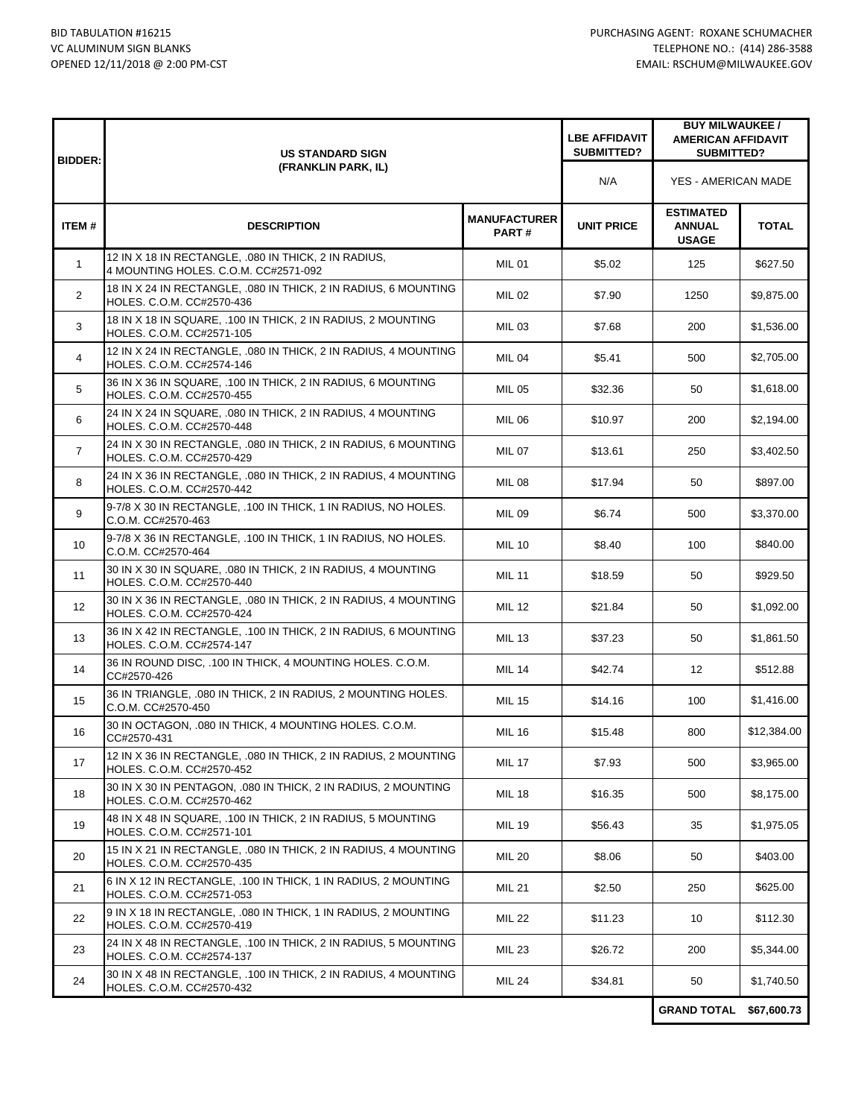| <b>BIDDER:</b>    | <b>US STANDARD SIGN</b><br>(FRANKLIN PARK, IL)                                               |                                     | <b>LBE AFFIDAVIT</b><br>SUBMITTED? | <b>BUY MILWAUKEE /</b><br><b>AMERICAN AFFIDAVIT</b><br>SUBMITTED? |              |
|-------------------|----------------------------------------------------------------------------------------------|-------------------------------------|------------------------------------|-------------------------------------------------------------------|--------------|
|                   |                                                                                              |                                     | N/A                                | YES - AMERICAN MADE                                               |              |
| ITEM#             | <b>DESCRIPTION</b>                                                                           | <b>MANUFACTURER</b><br><b>PART#</b> | <b>UNIT PRICE</b>                  | <b>ESTIMATED</b><br><b>ANNUAL</b><br><b>USAGE</b>                 | <b>TOTAL</b> |
| $\mathbf{1}$      | 12 IN X 18 IN RECTANGLE, .080 IN THICK, 2 IN RADIUS,<br>4 MOUNTING HOLES. C.O.M. CC#2571-092 | <b>MIL 01</b>                       | \$5.02                             | 125                                                               | \$627.50     |
| $\overline{2}$    | 18 IN X 24 IN RECTANGLE, 080 IN THICK, 2 IN RADIUS, 6 MOUNTING<br>HOLES. C.O.M. CC#2570-436  | <b>MIL 02</b>                       | \$7.90                             | 1250                                                              | \$9,875.00   |
| 3                 | 18 IN X 18 IN SQUARE, .100 IN THICK, 2 IN RADIUS, 2 MOUNTING<br>HOLES. C.O.M. CC#2571-105    | <b>MIL 03</b>                       | \$7.68                             | 200                                                               | \$1,536.00   |
| 4                 | 12 IN X 24 IN RECTANGLE, .080 IN THICK, 2 IN RADIUS, 4 MOUNTING<br>HOLES. C.O.M. CC#2574-146 | <b>MIL 04</b>                       | \$5.41                             | 500                                                               | \$2,705.00   |
| 5                 | 36 IN X 36 IN SQUARE, .100 IN THICK, 2 IN RADIUS, 6 MOUNTING<br>HOLES. C.O.M. CC#2570-455    | <b>MIL 05</b>                       | \$32.36                            | 50                                                                | \$1,618.00   |
| 6                 | 24 IN X 24 IN SQUARE, .080 IN THICK, 2 IN RADIUS, 4 MOUNTING<br>HOLES. C.O.M. CC#2570-448    | <b>MIL 06</b>                       | \$10.97                            | 200                                                               | \$2,194.00   |
| $\overline{7}$    | 24 IN X 30 IN RECTANGLE, .080 IN THICK, 2 IN RADIUS, 6 MOUNTING<br>HOLES, C.O.M. CC#2570-429 | <b>MIL 07</b>                       | \$13.61                            | 250                                                               | \$3,402.50   |
| 8                 | 24 IN X 36 IN RECTANGLE, .080 IN THICK, 2 IN RADIUS, 4 MOUNTING<br>HOLES. C.O.M. CC#2570-442 | <b>MIL 08</b>                       | \$17.94                            | 50                                                                | \$897.00     |
| 9                 | 9-7/8 X 30 IN RECTANGLE, .100 IN THICK, 1 IN RADIUS, NO HOLES.<br>C.O.M. CC#2570-463         | <b>MIL 09</b>                       | \$6.74                             | 500                                                               | \$3,370.00   |
| 10                | 9-7/8 X 36 IN RECTANGLE, .100 IN THICK, 1 IN RADIUS, NO HOLES.<br>C.O.M. CC#2570-464         | <b>MIL 10</b>                       | \$8.40                             | 100                                                               | \$840.00     |
| 11                | 30 IN X 30 IN SQUARE, .080 IN THICK, 2 IN RADIUS, 4 MOUNTING<br>HOLES. C.O.M. CC#2570-440    | <b>MIL 11</b>                       | \$18.59                            | 50                                                                | \$929.50     |
| $12 \overline{ }$ | 30 IN X 36 IN RECTANGLE, .080 IN THICK, 2 IN RADIUS, 4 MOUNTING<br>HOLES. C.O.M. CC#2570-424 | <b>MIL 12</b>                       | \$21.84                            | 50                                                                | \$1,092.00   |
| 13                | 36 IN X 42 IN RECTANGLE, .100 IN THICK, 2 IN RADIUS, 6 MOUNTING<br>HOLES. C.O.M. CC#2574-147 | <b>MIL 13</b>                       | \$37.23                            | 50                                                                | \$1,861.50   |
| 14                | 36 IN ROUND DISC, .100 IN THICK, 4 MOUNTING HOLES. C.O.M.<br>CC#2570-426                     | <b>MIL 14</b>                       | \$42.74                            | $12 \overline{ }$                                                 | \$512.88     |
| 15                | 36 IN TRIANGLE, .080 IN THICK, 2 IN RADIUS, 2 MOUNTING HOLES.<br>C.O.M. CC#2570-450          | <b>MIL 15</b>                       | \$14.16                            | 100                                                               | \$1,416.00   |
| 16                | 30 IN OCTAGON, .080 IN THICK, 4 MOUNTING HOLES. C.O.M.<br>CC#2570-431                        | <b>MIL 16</b>                       | \$15.48                            | 800                                                               | \$12,384.00  |
| 17                | 12 IN X 36 IN RECTANGLE, .080 IN THICK, 2 IN RADIUS, 2 MOUNTING<br>HOLES. C.O.M. CC#2570-452 | <b>MIL 17</b>                       | \$7.93                             | 500                                                               | \$3,965.00   |
| 18                | 30 IN X 30 IN PENTAGON, .080 IN THICK, 2 IN RADIUS, 2 MOUNTING<br>HOLES. C.O.M. CC#2570-462  | <b>MIL 18</b>                       | \$16.35                            | 500                                                               | \$8,175.00   |
| 19                | 48 IN X 48 IN SQUARE, .100 IN THICK, 2 IN RADIUS, 5 MOUNTING<br>HOLES. C.O.M. CC#2571-101    | <b>MIL 19</b>                       | \$56.43                            | 35                                                                | \$1,975.05   |
| 20                | 15 IN X 21 IN RECTANGLE, .080 IN THICK, 2 IN RADIUS, 4 MOUNTING<br>HOLES. C.O.M. CC#2570-435 | <b>MIL 20</b>                       | \$8.06                             | 50                                                                | \$403.00     |
| 21                | 6 IN X 12 IN RECTANGLE, .100 IN THICK, 1 IN RADIUS, 2 MOUNTING<br>HOLES. C.O.M. CC#2571-053  | <b>MIL 21</b>                       | \$2.50                             | 250                                                               | \$625.00     |
| 22                | 9 IN X 18 IN RECTANGLE, .080 IN THICK, 1 IN RADIUS, 2 MOUNTING<br>HOLES, C.O.M. CC#2570-419  | <b>MIL 22</b>                       | \$11.23                            | 10                                                                | \$112.30     |
| 23                | 24 IN X 48 IN RECTANGLE, .100 IN THICK, 2 IN RADIUS, 5 MOUNTING<br>HOLES. C.O.M. CC#2574-137 | <b>MIL 23</b>                       | \$26.72                            | 200                                                               | \$5,344.00   |
| 24                | 30 IN X 48 IN RECTANGLE, .100 IN THICK, 2 IN RADIUS, 4 MOUNTING<br>HOLES. C.O.M. CC#2570-432 | <b>MIL 24</b>                       | \$34.81                            | 50                                                                | \$1,740.50   |
|                   |                                                                                              |                                     |                                    | <b>GRAND TOTAL</b>                                                | \$67,600.73  |